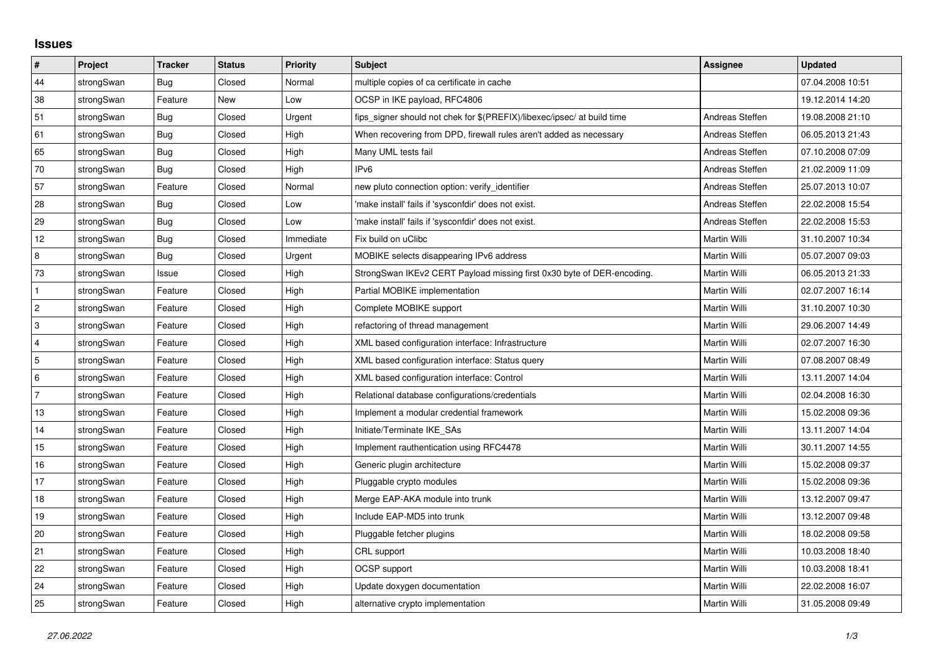## **Issues**

| $\vert$ #      | Project    | <b>Tracker</b> | <b>Status</b> | <b>Priority</b> | <b>Subject</b>                                                          | <b>Assignee</b> | <b>Updated</b>   |
|----------------|------------|----------------|---------------|-----------------|-------------------------------------------------------------------------|-----------------|------------------|
| 44             | strongSwan | Bug            | Closed        | Normal          | multiple copies of ca certificate in cache                              |                 | 07.04.2008 10:51 |
| 38             | strongSwan | Feature        | New           | Low             | OCSP in IKE payload, RFC4806                                            |                 | 19.12.2014 14:20 |
| 51             | strongSwan | <b>Bug</b>     | Closed        | Urgent          | fips signer should not chek for \$(PREFIX)/libexec/ipsec/ at build time | Andreas Steffen | 19.08.2008 21:10 |
| 61             | strongSwan | Bug            | Closed        | High            | When recovering from DPD, firewall rules aren't added as necessary      | Andreas Steffen | 06.05.2013 21:43 |
| 65             | strongSwan | Bug            | Closed        | High            | Many UML tests fail                                                     | Andreas Steffen | 07.10.2008 07:09 |
| 70             | strongSwan | Bug            | Closed        | High            | IP <sub>v6</sub>                                                        | Andreas Steffen | 21.02.2009 11:09 |
| 57             | strongSwan | Feature        | Closed        | Normal          | new pluto connection option: verify identifier                          | Andreas Steffen | 25.07.2013 10:07 |
| 28             | strongSwan | Bug            | Closed        | Low             | 'make install' fails if 'sysconfdir' does not exist.                    | Andreas Steffen | 22.02.2008 15:54 |
| 29             | strongSwan | Bug            | Closed        | Low             | 'make install' fails if 'sysconfdir' does not exist.                    | Andreas Steffen | 22.02.2008 15:53 |
| 12             | strongSwan | Bug            | Closed        | Immediate       | Fix build on uClibc                                                     | Martin Willi    | 31.10.2007 10:34 |
| $\bf 8$        | strongSwan | Bug            | Closed        | Urgent          | MOBIKE selects disappearing IPv6 address                                | Martin Willi    | 05.07.2007 09:03 |
| 73             | strongSwan | Issue          | Closed        | High            | StrongSwan IKEv2 CERT Payload missing first 0x30 byte of DER-encoding.  | Martin Willi    | 06.05.2013 21:33 |
| $\mathbf 1$    | strongSwan | Feature        | Closed        | High            | Partial MOBIKE implementation                                           | Martin Willi    | 02.07.2007 16:14 |
| $\overline{c}$ | strongSwan | Feature        | Closed        | High            | Complete MOBIKE support                                                 | Martin Willi    | 31.10.2007 10:30 |
| 3              | strongSwan | Feature        | Closed        | High            | refactoring of thread management                                        | Martin Willi    | 29.06.2007 14:49 |
| $\overline{4}$ | strongSwan | Feature        | Closed        | High            | XML based configuration interface: Infrastructure                       | Martin Willi    | 02.07.2007 16:30 |
| 5              | strongSwan | Feature        | Closed        | High            | XML based configuration interface: Status query                         | Martin Willi    | 07.08.2007 08:49 |
| 6              | strongSwan | Feature        | Closed        | High            | XML based configuration interface: Control                              | Martin Willi    | 13.11.2007 14:04 |
| $\overline{7}$ | strongSwan | Feature        | Closed        | High            | Relational database configurations/credentials                          | Martin Willi    | 02.04.2008 16:30 |
| 13             | strongSwan | Feature        | Closed        | High            | Implement a modular credential framework                                | Martin Willi    | 15.02.2008 09:36 |
| 14             | strongSwan | Feature        | Closed        | High            | Initiate/Terminate IKE SAs                                              | Martin Willi    | 13.11.2007 14:04 |
| 15             | strongSwan | Feature        | Closed        | High            | Implement rauthentication using RFC4478                                 | Martin Willi    | 30.11.2007 14:55 |
| 16             | strongSwan | Feature        | Closed        | High            | Generic plugin architecture                                             | Martin Willi    | 15.02.2008 09:37 |
| 17             | strongSwan | Feature        | Closed        | High            | Pluggable crypto modules                                                | Martin Willi    | 15.02.2008 09:36 |
| $18$           | strongSwan | Feature        | Closed        | High            | Merge EAP-AKA module into trunk                                         | Martin Willi    | 13.12.2007 09:47 |
| 19             | strongSwan | Feature        | Closed        | High            | Include EAP-MD5 into trunk                                              | Martin Willi    | 13.12.2007 09:48 |
| 20             | strongSwan | Feature        | Closed        | High            | Pluggable fetcher plugins                                               | Martin Willi    | 18.02.2008 09:58 |
| 21             | strongSwan | Feature        | Closed        | High            | CRL support                                                             | Martin Willi    | 10.03.2008 18:40 |
| 22             | strongSwan | Feature        | Closed        | High            | OCSP support                                                            | Martin Willi    | 10.03.2008 18:41 |
| 24             | strongSwan | Feature        | Closed        | High            | Update doxygen documentation                                            | Martin Willi    | 22.02.2008 16:07 |
| 25             | strongSwan | Feature        | Closed        | High            | alternative crypto implementation                                       | Martin Willi    | 31.05.2008 09:49 |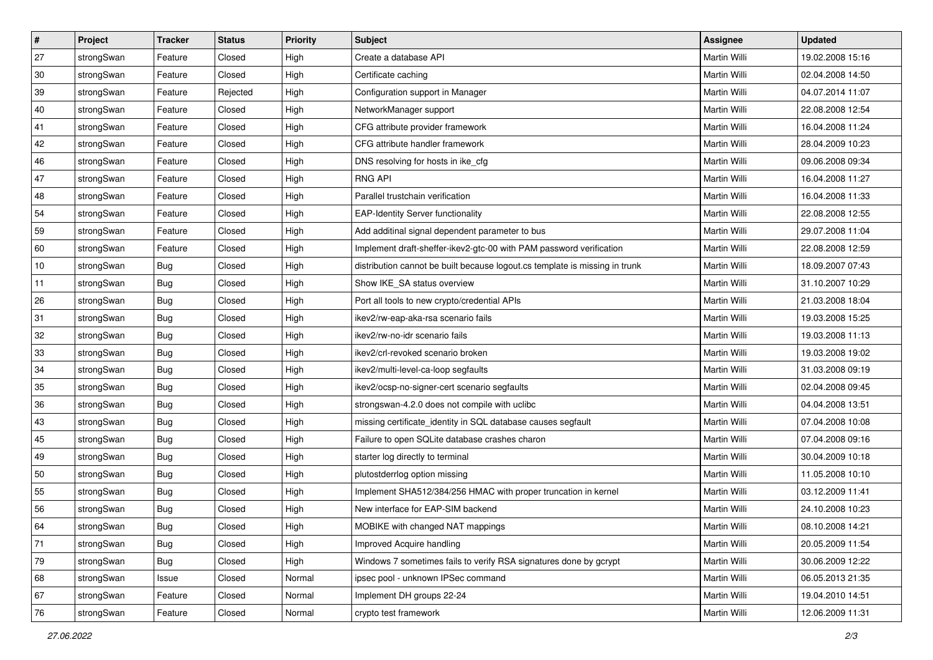| $\vert$ # | Project    | <b>Tracker</b> | <b>Status</b> | <b>Priority</b> | <b>Subject</b>                                                              | Assignee            | <b>Updated</b>   |
|-----------|------------|----------------|---------------|-----------------|-----------------------------------------------------------------------------|---------------------|------------------|
| 27        | strongSwan | Feature        | Closed        | High            | Create a database API                                                       | Martin Willi        | 19.02.2008 15:16 |
| 30        | strongSwan | Feature        | Closed        | High            | Certificate caching                                                         | <b>Martin Willi</b> | 02.04.2008 14:50 |
| 39        | strongSwan | Feature        | Rejected      | High            | Configuration support in Manager                                            | Martin Willi        | 04.07.2014 11:07 |
| 40        | strongSwan | Feature        | Closed        | High            | NetworkManager support                                                      | Martin Willi        | 22.08.2008 12:54 |
| 41        | strongSwan | Feature        | Closed        | High            | CFG attribute provider framework                                            | Martin Willi        | 16.04.2008 11:24 |
| 42        | strongSwan | Feature        | Closed        | High            | CFG attribute handler framework                                             | Martin Willi        | 28.04.2009 10:23 |
| 46        | strongSwan | Feature        | Closed        | High            | DNS resolving for hosts in ike_cfg                                          | Martin Willi        | 09.06.2008 09:34 |
| 47        | strongSwan | Feature        | Closed        | High            | <b>RNG API</b>                                                              | Martin Willi        | 16.04.2008 11:27 |
| 48        | strongSwan | Feature        | Closed        | High            | Parallel trustchain verification                                            | Martin Willi        | 16.04.2008 11:33 |
| 54        | strongSwan | Feature        | Closed        | High            | <b>EAP-Identity Server functionality</b>                                    | Martin Willi        | 22.08.2008 12:55 |
| 59        | strongSwan | Feature        | Closed        | High            | Add additinal signal dependent parameter to bus                             | Martin Willi        | 29.07.2008 11:04 |
| 60        | strongSwan | Feature        | Closed        | High            | Implement draft-sheffer-ikev2-gtc-00 with PAM password verification         | Martin Willi        | 22.08.2008 12:59 |
| 10        | strongSwan | Bug            | Closed        | High            | distribution cannot be built because logout.cs template is missing in trunk | Martin Willi        | 18.09.2007 07:43 |
| 11        | strongSwan | Bug            | Closed        | High            | Show IKE SA status overview                                                 | Martin Willi        | 31.10.2007 10:29 |
| 26        | strongSwan | Bug            | Closed        | High            | Port all tools to new crypto/credential APIs                                | <b>Martin Willi</b> | 21.03.2008 18:04 |
| 31        | strongSwan | <b>Bug</b>     | Closed        | High            | ikev2/rw-eap-aka-rsa scenario fails                                         | Martin Willi        | 19.03.2008 15:25 |
| 32        | strongSwan | <b>Bug</b>     | Closed        | High            | ikev2/rw-no-idr scenario fails                                              | <b>Martin Willi</b> | 19.03.2008 11:13 |
| 33        | strongSwan | Bug            | Closed        | High            | ikev2/crl-revoked scenario broken                                           | Martin Willi        | 19.03.2008 19:02 |
| 34        | strongSwan | <b>Bug</b>     | Closed        | High            | ikev2/multi-level-ca-loop segfaults                                         | Martin Willi        | 31.03.2008 09:19 |
| 35        | strongSwan | Bug            | Closed        | High            | ikev2/ocsp-no-signer-cert scenario segfaults                                | Martin Willi        | 02.04.2008 09:45 |
| 36        | strongSwan | <b>Bug</b>     | Closed        | High            | strongswan-4.2.0 does not compile with uclibc                               | Martin Willi        | 04.04.2008 13:51 |
| 43        | strongSwan | <b>Bug</b>     | Closed        | High            | missing certificate_identity in SQL database causes segfault                | Martin Willi        | 07.04.2008 10:08 |
| 45        | strongSwan | Bug            | Closed        | High            | Failure to open SQLite database crashes charon                              | Martin Willi        | 07.04.2008 09:16 |
| 49        | strongSwan | Bug            | Closed        | High            | starter log directly to terminal                                            | Martin Willi        | 30.04.2009 10:18 |
| 50        | strongSwan | <b>Bug</b>     | Closed        | High            | plutostderrlog option missing                                               | Martin Willi        | 11.05.2008 10:10 |
| 55        | strongSwan | <b>Bug</b>     | Closed        | High            | Implement SHA512/384/256 HMAC with proper truncation in kernel              | Martin Willi        | 03.12.2009 11:41 |
| 56        | strongSwan | Bug            | Closed        | High            | New interface for EAP-SIM backend                                           | Martin Willi        | 24.10.2008 10:23 |
| 64        | strongSwan | Bug            | Closed        | High            | MOBIKE with changed NAT mappings                                            | Martin Willi        | 08.10.2008 14:21 |
| 71        | strongSwan | Bug            | Closed        | High            | Improved Acquire handling                                                   | <b>Martin Willi</b> | 20.05.2009 11:54 |
| 79        | strongSwan | Bug            | Closed        | High            | Windows 7 sometimes fails to verify RSA signatures done by gcrypt           | Martin Willi        | 30.06.2009 12:22 |
| 68        | strongSwan | Issue          | Closed        | Normal          | ipsec pool - unknown IPSec command                                          | Martin Willi        | 06.05.2013 21:35 |
| 67        | strongSwan | Feature        | Closed        | Normal          | Implement DH groups 22-24                                                   | Martin Willi        | 19.04.2010 14:51 |
| 76        | strongSwan | Feature        | Closed        | Normal          | crypto test framework                                                       | Martin Willi        | 12.06.2009 11:31 |